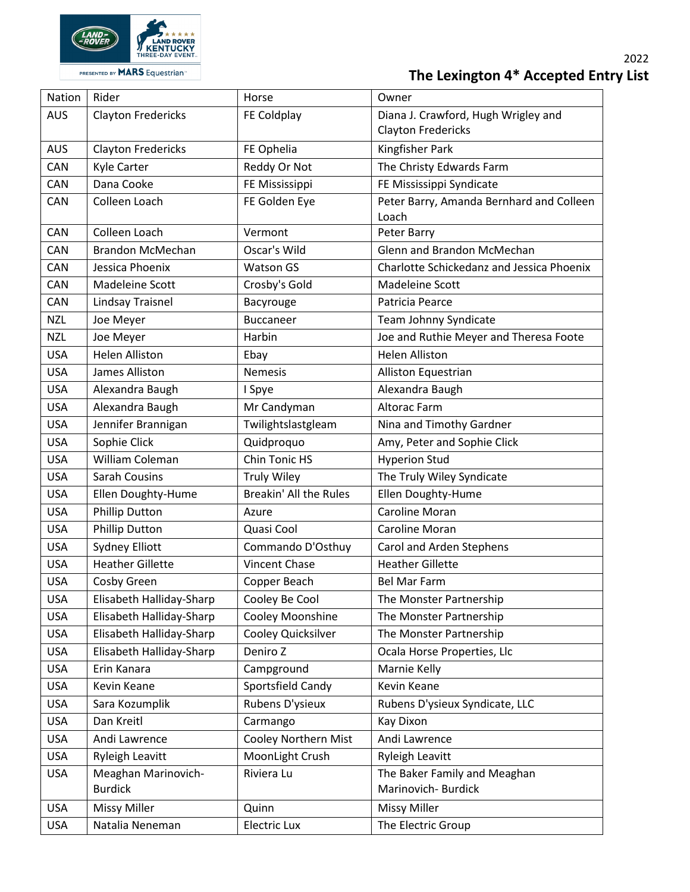

| Nation     | Rider                     | Horse                       | Owner                                     |
|------------|---------------------------|-----------------------------|-------------------------------------------|
| <b>AUS</b> | <b>Clayton Fredericks</b> | FE Coldplay                 | Diana J. Crawford, Hugh Wrigley and       |
|            |                           |                             | <b>Clayton Fredericks</b>                 |
| <b>AUS</b> | <b>Clayton Fredericks</b> | FE Ophelia                  | Kingfisher Park                           |
| <b>CAN</b> | Kyle Carter               | Reddy Or Not                | The Christy Edwards Farm                  |
| <b>CAN</b> | Dana Cooke                | FE Mississippi              | FE Mississippi Syndicate                  |
| CAN        | Colleen Loach             | FE Golden Eye               | Peter Barry, Amanda Bernhard and Colleen  |
|            |                           |                             | Loach                                     |
| <b>CAN</b> | Colleen Loach             | Vermont                     | Peter Barry                               |
| CAN        | Brandon McMechan          | Oscar's Wild                | Glenn and Brandon McMechan                |
| CAN        | Jessica Phoenix           | <b>Watson GS</b>            | Charlotte Schickedanz and Jessica Phoenix |
| CAN        | Madeleine Scott           | Crosby's Gold               | Madeleine Scott                           |
| CAN        | Lindsay Traisnel          | Bacyrouge                   | Patricia Pearce                           |
| <b>NZL</b> | Joe Meyer                 | <b>Buccaneer</b>            | Team Johnny Syndicate                     |
| <b>NZL</b> | Joe Meyer                 | Harbin                      | Joe and Ruthie Meyer and Theresa Foote    |
| <b>USA</b> | <b>Helen Alliston</b>     | Ebay                        | <b>Helen Alliston</b>                     |
| <b>USA</b> | James Alliston            | <b>Nemesis</b>              | Alliston Equestrian                       |
| <b>USA</b> | Alexandra Baugh           | I Spye                      | Alexandra Baugh                           |
| <b>USA</b> | Alexandra Baugh           | Mr Candyman                 | <b>Altorac Farm</b>                       |
| <b>USA</b> | Jennifer Brannigan        | Twilightslastgleam          | Nina and Timothy Gardner                  |
| <b>USA</b> | Sophie Click              | Quidproquo                  | Amy, Peter and Sophie Click               |
| <b>USA</b> | William Coleman           | Chin Tonic HS               | <b>Hyperion Stud</b>                      |
| <b>USA</b> | <b>Sarah Cousins</b>      | <b>Truly Wiley</b>          | The Truly Wiley Syndicate                 |
| <b>USA</b> | Ellen Doughty-Hume        | Breakin' All the Rules      | Ellen Doughty-Hume                        |
| <b>USA</b> | <b>Phillip Dutton</b>     | Azure                       | Caroline Moran                            |
| <b>USA</b> | <b>Phillip Dutton</b>     | Quasi Cool                  | Caroline Moran                            |
| <b>USA</b> | <b>Sydney Elliott</b>     | Commando D'Osthuy           | Carol and Arden Stephens                  |
| <b>USA</b> | <b>Heather Gillette</b>   | <b>Vincent Chase</b>        | <b>Heather Gillette</b>                   |
| <b>USA</b> | Cosby Green               | Copper Beach                | <b>Bel Mar Farm</b>                       |
| <b>USA</b> | Elisabeth Halliday-Sharp  | Cooley Be Cool              | The Monster Partnership                   |
| <b>USA</b> | Elisabeth Halliday-Sharp  | Cooley Moonshine            | The Monster Partnership                   |
| <b>USA</b> | Elisabeth Halliday-Sharp  | Cooley Quicksilver          | The Monster Partnership                   |
| <b>USA</b> | Elisabeth Halliday-Sharp  | Deniro Z                    | Ocala Horse Properties, Llc               |
| <b>USA</b> | Erin Kanara               | Campground                  | Marnie Kelly                              |
| <b>USA</b> | Kevin Keane               | Sportsfield Candy           | Kevin Keane                               |
| <b>USA</b> | Sara Kozumplik            | Rubens D'ysieux             | Rubens D'ysieux Syndicate, LLC            |
| <b>USA</b> | Dan Kreitl                | Carmango                    | <b>Kay Dixon</b>                          |
| <b>USA</b> | Andi Lawrence             | <b>Cooley Northern Mist</b> | Andi Lawrence                             |
| <b>USA</b> | <b>Ryleigh Leavitt</b>    | MoonLight Crush             | <b>Ryleigh Leavitt</b>                    |
| <b>USA</b> | Meaghan Marinovich-       | Riviera Lu                  | The Baker Family and Meaghan              |
|            | <b>Burdick</b>            |                             | Marinovich-Burdick                        |
| <b>USA</b> | <b>Missy Miller</b>       | Quinn                       | <b>Missy Miller</b>                       |
| <b>USA</b> | Natalia Neneman           | <b>Electric Lux</b>         | The Electric Group                        |